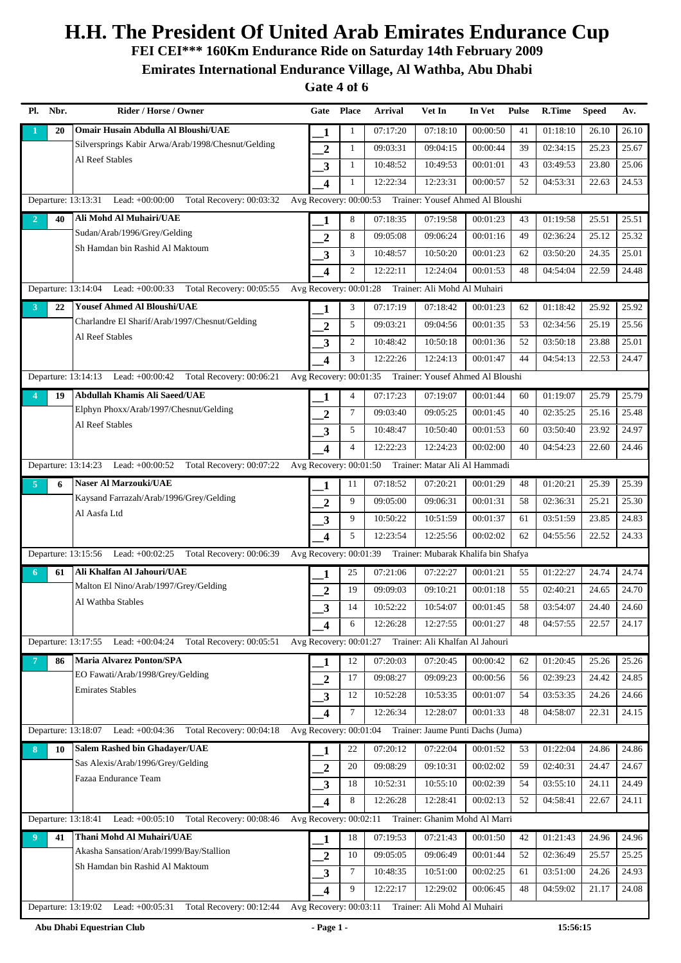**FEI CEI\*\*\* 160Km Endurance Ride on Saturday 14th February 2009**

**Emirates International Endurance Village, Al Wathba, Abu Dhabi**

| PI.            | Nbr. | Rider / Horse / Owner                                                | Gate Place              |                | Arrival                                                    | Vet In                        | In Vet   | <b>Pulse</b> | <b>R.Time</b> | <b>Speed</b> | Av.   |
|----------------|------|----------------------------------------------------------------------|-------------------------|----------------|------------------------------------------------------------|-------------------------------|----------|--------------|---------------|--------------|-------|
|                | 20   | Omair Husain Abdulla Al Bloushi/UAE                                  | 1                       | $\mathbf{1}$   | 07:17:20                                                   | 07:18:10                      | 00:00:50 | 41           | 01:18:10      | 26.10        | 26.10 |
|                |      | Silversprings Kabir Arwa/Arab/1998/Chesnut/Gelding                   | $\overline{2}$          | $\mathbf{1}$   | 09:03:31                                                   | 09:04:15                      | 00:00:44 | 39           | 02:34:15      | 25.23        | 25.67 |
|                |      | Al Reef Stables                                                      | 3                       | 1              | 10:48:52                                                   | 10:49:53                      | 00:01:01 | 43           | 03:49:53      | 23.80        | 25.06 |
|                |      |                                                                      | $\overline{\mathbf{4}}$ | $\mathbf{1}$   | 12:22:34                                                   | 12:23:31                      | 00:00:57 | 52           | 04:53:31      | 22.63        | 24.53 |
|                |      | Departure: 13:13:31 Lead: +00:00:00<br>Total Recovery: 00:03:32      |                         |                | Avg Recovery: 00:00:53 Trainer: Yousef Ahmed Al Bloushi    |                               |          |              |               |              |       |
| $\overline{2}$ | 40   | Ali Mohd Al Muhairi/UAE                                              | 1                       | 8              | 07:18:35                                                   | 07:19:58                      | 00:01:23 | 43           | 01:19:58      | 25.51        | 25.51 |
|                |      | Sudan/Arab/1996/Grey/Gelding                                         | $\overline{2}$          | 8              | 09:05:08                                                   | 09:06:24                      | 00:01:16 | 49           | 02:36:24      | 25.12        | 25.32 |
|                |      | Sh Hamdan bin Rashid Al Maktoum                                      | 3                       | 3              | 10:48:57                                                   | 10:50:20                      | 00:01:23 | 62           | 03:50:20      | 24.35        | 25.01 |
|                |      |                                                                      | $\boldsymbol{4}$        | $\overline{c}$ | 12:22:11                                                   | 12:24:04                      | 00:01:53 | 48           | 04:54:04      | 22.59        | 24.48 |
|                |      | Departure: 13:14:04 Lead: +00:00:33 Total Recovery: 00:05:55         | Avg Recovery: 00:01:28  |                |                                                            | Trainer: Ali Mohd Al Muhairi  |          |              |               |              |       |
| 3              | 22   | <b>Yousef Ahmed Al Bloushi/UAE</b>                                   | 1                       | 3              | 07:17:19                                                   | 07:18:42                      | 00:01:23 | 62           | 01:18:42      | 25.92        | 25.92 |
|                |      | Charlandre El Sharif/Arab/1997/Chesnut/Gelding                       | $\overline{2}$          | 5              | 09:03:21                                                   | 09:04:56                      | 00:01:35 | 53           | 02:34:56      | 25.19        | 25.56 |
|                |      | Al Reef Stables                                                      | 3                       | 2              | 10:48:42                                                   | 10:50:18                      | 00:01:36 | 52           | 03:50:18      | 23.88        | 25.01 |
|                |      |                                                                      | $\boldsymbol{4}$        | 3              | 12:22:26                                                   | 12:24:13                      | 00:01:47 | 44           | 04:54:13      | 22.53        | 24.47 |
|                |      | Departure: 13:14:13 Lead: +00:00:42 Total Recovery: 00:06:21         |                         |                | Avg Recovery: 00:01:35 Trainer: Yousef Ahmed Al Bloushi    |                               |          |              |               |              |       |
| 4              | 19   | Abdullah Khamis Ali Saeed/UAE                                        | 1                       | $\overline{4}$ | 07:17:23                                                   | 07:19:07                      | 00:01:44 | 60           | 01:19:07      | 25.79        | 25.79 |
|                |      | Elphyn Phoxx/Arab/1997/Chesnut/Gelding                               | $\boldsymbol{2}$        | $\overline{7}$ | 09:03:40                                                   | 09:05:25                      | 00:01:45 | 40           | 02:35:25      | 25.16        | 25.48 |
|                |      | Al Reef Stables                                                      | $\mathbf{3}$            | 5              | 10:48:47                                                   | 10:50:40                      | 00:01:53 | 60           | 03:50:40      | 23.92        | 24.97 |
|                |      |                                                                      | $\boldsymbol{4}$        | $\overline{4}$ | 12:22:23                                                   | 12:24:23                      | 00:02:00 | 40           | 04:54:23      | 22.60        | 24.46 |
|                |      | Departure: 13:14:23 Lead: +00:00:52 Total Recovery: 00:07:22         | Avg Recovery: 00:01:50  |                |                                                            | Trainer: Matar Ali Al Hammadi |          |              |               |              |       |
| 5 <sup>1</sup> | 6    | <b>Naser Al Marzouki/UAE</b>                                         | 1                       | 11             | 07:18:52                                                   | 07:20:21                      | 00:01:29 | 48           | 01:20:21      | 25.39        | 25.39 |
|                |      | Kaysand Farrazah/Arab/1996/Grey/Gelding                              | $\overline{2}$          | 9              | 09:05:00                                                   | 09:06:31                      | 00:01:31 | 58           | 02:36:31      | 25.21        | 25.30 |
|                |      | Al Aasfa Ltd                                                         | $\overline{\mathbf{3}}$ | 9              | 10:50:22                                                   | 10:51:59                      | 00:01:37 | 61           | 03:51:59      | 23.85        | 24.83 |
|                |      |                                                                      | $\boldsymbol{4}$        | 5              | 12:23:54                                                   | 12:25:56                      | 00:02:02 | 62           | 04:55:56      | 22.52        | 24.33 |
|                |      | Departure: 13:15:56 Lead: +00:02:25 Total Recovery: 00:06:39         |                         |                | Avg Recovery: 00:01:39 Trainer: Mubarak Khalifa bin Shafya |                               |          |              |               |              |       |
| 6              | 61   | Ali Khalfan Al Jahouri/UAE                                           | 1                       | 25             | 07:21:06                                                   | 07:22:27                      | 00:01:21 | 55           | 01:22:27      | 24.74        | 24.74 |
|                |      | Malton El Nino/Arab/1997/Grey/Gelding                                | $\overline{2}$          | 19             | 09:09:03                                                   | 09:10:21                      | 00:01:18 | 55           | 02:40:21      | 24.65        | 24.70 |
|                |      | Al Wathba Stables                                                    | 3                       | 14             | 10:52:22                                                   | 10:54:07                      | 00:01:45 | 58           | 03:54:07      | 24.40        | 24.60 |
|                |      |                                                                      | $\boldsymbol{4}$        | 6              | 12:26:28                                                   | 12:27:55                      | 00:01:27 | 48           | 04:57:55      | 22.57        | 24.17 |
|                |      | Departure: $13:17:55$ Lead: $+00:04:24$<br>Total Recovery: 00:05:51  |                         |                | Avg Recovery: 00:01:27 Trainer: Ali Khalfan Al Jahouri     |                               |          |              |               |              |       |
|                | 86   | <b>Maria Alvarez Ponton/SPA</b>                                      | $\mathbf{1}$            | 12             | 07:20:03                                                   | 07:20:45                      | 00:00:42 | 62           | 01:20:45      | 25.26        | 25.26 |
|                |      | EO Fawati/Arab/1998/Grey/Gelding                                     | $\overline{2}$          | 17             | 09:08:27                                                   | 09:09:23                      | 00:00:56 | 56           | 02:39:23      | 24.42        | 24.85 |
|                |      | <b>Emirates Stables</b>                                              | $\mathbf{3}$            | 12             | 10:52:28                                                   | 10:53:35                      | 00:01:07 | 54           | 03:53:35      | 24.26        | 24.66 |
|                |      |                                                                      | $\boldsymbol{4}$        | $\tau$         | 12:26:34                                                   | 12:28:07                      | 00:01:33 | 48           | 04:58:07      | 22.31        | 24.15 |
|                |      | Departure: 13:18:07<br>Lead: $+00:04:36$<br>Total Recovery: 00:04:18 |                         |                | Avg Recovery: 00:01:04 Trainer: Jaume Punti Dachs (Juma)   |                               |          |              |               |              |       |
| 8              | 10   | <b>Salem Rashed bin Ghadayer/UAE</b>                                 | 1                       | 22             | 07:20:12                                                   | 07:22:04                      | 00:01:52 | 53           | 01:22:04      | 24.86        | 24.86 |
|                |      | Sas Alexis/Arab/1996/Grey/Gelding                                    | $\boldsymbol{2}$        | 20             | 09:08:29                                                   | 09:10:31                      | 00:02:02 | 59           | 02:40:31      | 24.47        | 24.67 |
|                |      | Fazaa Endurance Team                                                 | $\mathbf{3}$            | 18             | 10:52:31                                                   | 10:55:10                      | 00:02:39 | 54           | 03:55:10      | 24.11        | 24.49 |
|                |      |                                                                      | $\overline{\mathbf{4}}$ | 8              | 12:26:28                                                   | 12:28:41                      | 00:02:13 | 52           | 04:58:41      | 22.67        | 24.11 |
|                |      | Departure: 13:18:41<br>Lead: $+00:05:10$<br>Total Recovery: 00:08:46 |                         |                | Avg Recovery: 00:02:11 Trainer: Ghanim Mohd Al Marri       |                               |          |              |               |              |       |
| 9              | 41   | Thani Mohd Al Muhairi/UAE                                            | 1                       | 18             | 07:19:53                                                   | 07:21:43                      | 00:01:50 | 42           | 01:21:43      | 24.96        | 24.96 |
|                |      | Akasha Sansation/Arab/1999/Bay/Stallion                              | $\overline{2}$          | 10             | 09:05:05                                                   | 09:06:49                      | 00:01:44 | 52           | 02:36:49      | 25.57        | 25.25 |
|                |      | Sh Hamdan bin Rashid Al Maktoum                                      | 3                       | $\tau$         | 10:48:35                                                   | 10:51:00                      | 00:02:25 | 61           | 03:51:00      | 24.26        | 24.93 |
|                |      |                                                                      | $\boldsymbol{4}$        | 9              | 12:22:17                                                   | 12:29:02                      | 00:06:45 | 48           | 04:59:02      | 21.17        | 24.08 |
|                |      | Lead: $+00:05:31$<br>Total Recovery: 00:12:44<br>Departure: 13:19:02 |                         |                | Avg Recovery: 00:03:11 Trainer: Ali Mohd Al Muhairi        |                               |          |              |               |              |       |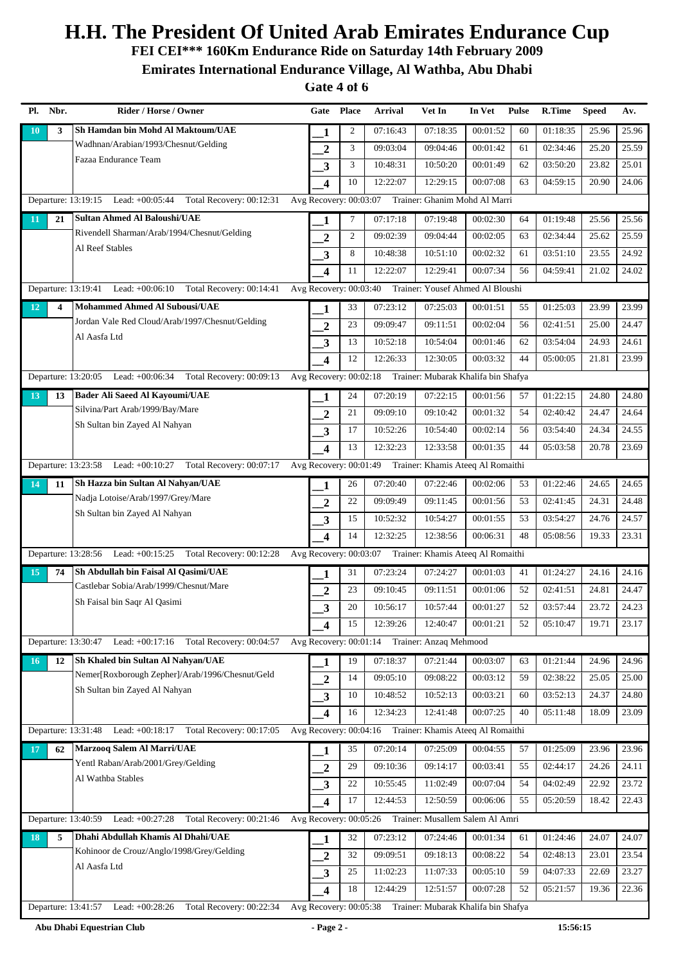**FEI CEI\*\*\* 160Km Endurance Ride on Saturday 14th February 2009**

**Emirates International Endurance Village, Al Wathba, Abu Dhabi**

| Pl.             | Nbr. | Rider / Horse / Owner                                                | Gate                    | <b>Place</b>   | <b>Arrival</b> | Vet In                                                     | In Vet   | <b>Pulse</b> | R.Time   | <b>Speed</b> | Av.   |
|-----------------|------|----------------------------------------------------------------------|-------------------------|----------------|----------------|------------------------------------------------------------|----------|--------------|----------|--------------|-------|
| <b>10</b>       | 3    | Sh Hamdan bin Mohd Al Maktoum/UAE                                    | 1                       | $\mathfrak{2}$ | 07:16:43       | 07:18:35                                                   | 00:01:52 | 60           | 01:18:35 | 25.96        | 25.96 |
|                 |      | Wadhnan/Arabian/1993/Chesnut/Gelding                                 | $\mathbf{2}$            | 3              | 09:03:04       | 09:04:46                                                   | 00:01:42 | 61           | 02:34:46 | 25.20        | 25.59 |
|                 |      | Fazaa Endurance Team                                                 | 3                       | 3              | 10:48:31       | 10:50:20                                                   | 00:01:49 | 62           | 03:50:20 | 23.82        | 25.01 |
|                 |      |                                                                      | $\overline{\mathbf{4}}$ | 10             | 12:22:07       | 12:29:15                                                   | 00:07:08 | 63           | 04:59:15 | 20.90        | 24.06 |
|                 |      | Lead: +00:05:44<br>Total Recovery: 00:12:31<br>Departure: 13:19:15   | Avg Recovery: 00:03:07  |                |                | Trainer: Ghanim Mohd Al Marri                              |          |              |          |              |       |
| $\overline{11}$ | 21   | <b>Sultan Ahmed Al Baloushi/UAE</b>                                  | 1                       | 7              | 07:17:18       | 07:19:48                                                   | 00:02:30 | 64           | 01:19:48 | 25.56        | 25.56 |
|                 |      | Rivendell Sharman/Arab/1994/Chesnut/Gelding                          | $\overline{2}$          | $\mathfrak{2}$ | 09:02:39       | 09:04:44                                                   | 00:02:05 | 63           | 02:34:44 | 25.62        | 25.59 |
|                 |      | Al Reef Stables                                                      | 3                       | 8              | 10:48:38       | 10:51:10                                                   | 00:02:32 | 61           | 03:51:10 | 23.55        | 24.92 |
|                 |      |                                                                      | $\overline{\mathbf{4}}$ | 11             | 12:22:07       | 12:29:41                                                   | 00:07:34 | 56           | 04:59:41 | 21.02        | 24.02 |
|                 |      | Departure: 13:19:41 Lead: +00:06:10 Total Recovery: 00:14:41         | Avg Recovery: 00:03:40  |                |                | Trainer: Yousef Ahmed Al Bloushi                           |          |              |          |              |       |
| <b>12</b>       | 4    | <b>Mohammed Ahmed Al Subousi/UAE</b>                                 | 1                       | 33             | 07:23:12       | 07:25:03                                                   | 00:01:51 | 55           | 01:25:03 | 23.99        | 23.99 |
|                 |      | Jordan Vale Red Cloud/Arab/1997/Chesnut/Gelding                      | $\overline{2}$          | 23             | 09:09:47       | 09:11:51                                                   | 00:02:04 | 56           | 02:41:51 | 25.00        | 24.47 |
|                 |      | Al Aasfa Ltd                                                         | 3                       | 13             | 10:52:18       | 10:54:04                                                   | 00:01:46 | 62           | 03:54:04 | 24.93        | 24.61 |
|                 |      |                                                                      | $\overline{\mathbf{4}}$ | 12             | 12:26:33       | 12:30:05                                                   | 00:03:32 | 44           | 05:00:05 | 21.81        | 23.99 |
|                 |      | Departure: 13:20:05 Lead: +00:06:34 Total Recovery: 00:09:13         |                         |                |                | Avg Recovery: 00:02:18 Trainer: Mubarak Khalifa bin Shafya |          |              |          |              |       |
| <b>13</b>       | 13   | <b>Bader Ali Saeed Al Kayoumi/UAE</b>                                | 1                       | 24             | 07:20:19       | 07:22:15                                                   | 00:01:56 | 57           | 01:22:15 | 24.80        | 24.80 |
|                 |      | Silvina/Part Arab/1999/Bay/Mare                                      | $\overline{2}$          | 21             | 09:09:10       | 09:10:42                                                   | 00:01:32 | 54           | 02:40:42 | 24.47        | 24.64 |
|                 |      | Sh Sultan bin Zayed Al Nahyan                                        | 3                       | 17             | 10:52:26       | 10:54:40                                                   | 00:02:14 | 56           | 03:54:40 | 24.34        | 24.55 |
|                 |      |                                                                      | $\overline{\mathbf{4}}$ | 13             | 12:32:23       | 12:33:58                                                   | 00:01:35 | 44           | 05:03:58 | 20.78        | 23.69 |
|                 |      | Departure: 13:23:58 Lead: +00:10:27 Total Recovery: 00:07:17         | Avg Recovery: 00:01:49  |                |                | Trainer: Khamis Ateeq Al Romaithi                          |          |              |          |              |       |
| 14              | 11   | Sh Hazza bin Sultan Al Nahyan/UAE                                    | 1                       | 26             | 07:20:40       | 07:22:46                                                   | 00:02:06 | 53           | 01:22:46 | 24.65        | 24.65 |
|                 |      | Nadja Lotoise/Arab/1997/Grey/Mare                                    | $\overline{2}$          | 22             | 09:09:49       | 09:11:45                                                   | 00:01:56 | 53           | 02:41:45 | 24.31        | 24.48 |
|                 |      | Sh Sultan bin Zayed Al Nahyan                                        | 3                       | 15             | 10:52:32       | 10:54:27                                                   | 00:01:55 | 53           | 03:54:27 | 24.76        | 24.57 |
|                 |      |                                                                      | $\overline{\mathbf{4}}$ | 14             | 12:32:25       | 12:38:56                                                   | 00:06:31 | 48           | 05:08:56 | 19.33        | 23.31 |
|                 |      | Departure: 13:28:56 Lead: +00:15:25 Total Recovery: 00:12:28         | Avg Recovery: 00:03:07  |                |                | Trainer: Khamis Ateeq Al Romaithi                          |          |              |          |              |       |
| <b>15</b>       | 74   | Sh Abdullah bin Faisal Al Qasimi/UAE                                 | 1                       | 31             | 07:23:24       | 07:24:27                                                   | 00:01:03 | 41           | 01:24:27 | 24.16        | 24.16 |
|                 |      | Castlebar Sobia/Arab/1999/Chesnut/Mare                               | $\overline{2}$          | 23             | 09:10:45       | 09:11:51                                                   | 00:01:06 | 52           | 02:41:51 | 24.81        | 24.47 |
|                 |      | Sh Faisal bin Saqr Al Qasimi                                         | 3                       | 20             | 10:56:17       | 10:57:44                                                   | 00:01:27 | 52           | 03:57:44 | 23.72        | 24.23 |
|                 |      |                                                                      | 4                       | 15             | 12:39:26       | 12:40:47                                                   | 00:01:21 | 52           | 05:10:47 | 19.71        | 23.17 |
|                 |      | Departure: 13:30:47<br>Lead: $+00:17:16$<br>Total Recovery: 00:04:57 | Avg Recovery: 00:01:14  |                |                | Trainer: Anzaq Mehmood                                     |          |              |          |              |       |
| <b>16</b>       | 12   | Sh Khaled bin Sultan Al Nahyan/UAE                                   | 1                       | 19             | 07:18:37       | 07:21:44                                                   | 00:03:07 | 63           | 01:21:44 | 24.96        | 24.96 |
|                 |      | Nemer[Roxborough Zepher]/Arab/1996/Chesnut/Geld                      | $\overline{2}$          | 14             | 09:05:10       | 09:08:22                                                   | 00:03:12 | 59           | 02:38:22 | 25.05        | 25.00 |
|                 |      | Sh Sultan bin Zayed Al Nahyan                                        | 3                       | 10             | 10:48:52       | 10:52:13                                                   | 00:03:21 | 60           | 03:52:13 | 24.37        | 24.80 |
|                 |      |                                                                      | $\overline{\mathbf{4}}$ | 16             | 12:34:23       | 12:41:48                                                   | 00:07:25 | 40           | 05:11:48 | 18.09        | 23.09 |
|                 |      | Departure: 13:31:48<br>Lead: $+00:18:17$<br>Total Recovery: 00:17:05 |                         |                |                | Avg Recovery: 00:04:16 Trainer: Khamis Ateeq Al Romaithi   |          |              |          |              |       |
| <b>17</b>       | 62   | Marzooq Salem Al Marri/UAE                                           | 1                       | 35             | 07:20:14       | 07:25:09                                                   | 00:04:55 | 57           | 01:25:09 | 23.96        | 23.96 |
|                 |      | Yentl Raban/Arab/2001/Grey/Gelding                                   | $\overline{2}$          | 29             | 09:10:36       | 09:14:17                                                   | 00:03:41 | 55           | 02:44:17 | 24.26        | 24.11 |
|                 |      | Al Wathba Stables                                                    | 3                       | 22             | 10:55:45       | 11:02:49                                                   | 00:07:04 | 54           | 04:02:49 | 22.92        | 23.72 |
|                 |      |                                                                      | 4                       | 17             | 12:44:53       | 12:50:59                                                   | 00:06:06 | 55           | 05:20:59 | 18.42        | 22.43 |
|                 |      | Departure: 13:40:59<br>Lead: +00:27:28<br>Total Recovery: 00:21:46   | Avg Recovery: 00:05:26  |                |                | Trainer: Musallem Salem Al Amri                            |          |              |          |              |       |
| 18              | 5    | Dhahi Abdullah Khamis Al Dhahi/UAE                                   | 1                       | 32             | 07:23:12       | 07:24:46                                                   | 00:01:34 | 61           | 01:24:46 | 24.07        | 24.07 |
|                 |      | Kohinoor de Crouz/Anglo/1998/Grey/Gelding                            | $\mathbf{2}$            | 32             | 09:09:51       | 09:18:13                                                   | 00:08:22 | 54           | 02:48:13 | 23.01        | 23.54 |
|                 |      | Al Aasfa Ltd                                                         | 3                       | 25             | 11:02:23       | 11:07:33                                                   | 00:05:10 | 59           | 04:07:33 | 22.69        | 23.27 |
|                 |      |                                                                      | $\overline{\mathbf{4}}$ | 18             | 12:44:29       | 12:51:57                                                   | 00:07:28 | 52           | 05:21:57 | 19.36        | 22.36 |
|                 |      | Departure: 13:41:57<br>Lead: +00:28:26<br>Total Recovery: 00:22:34   | Avg Recovery: 00:05:38  |                |                | Trainer: Mubarak Khalifa bin Shafya                        |          |              |          |              |       |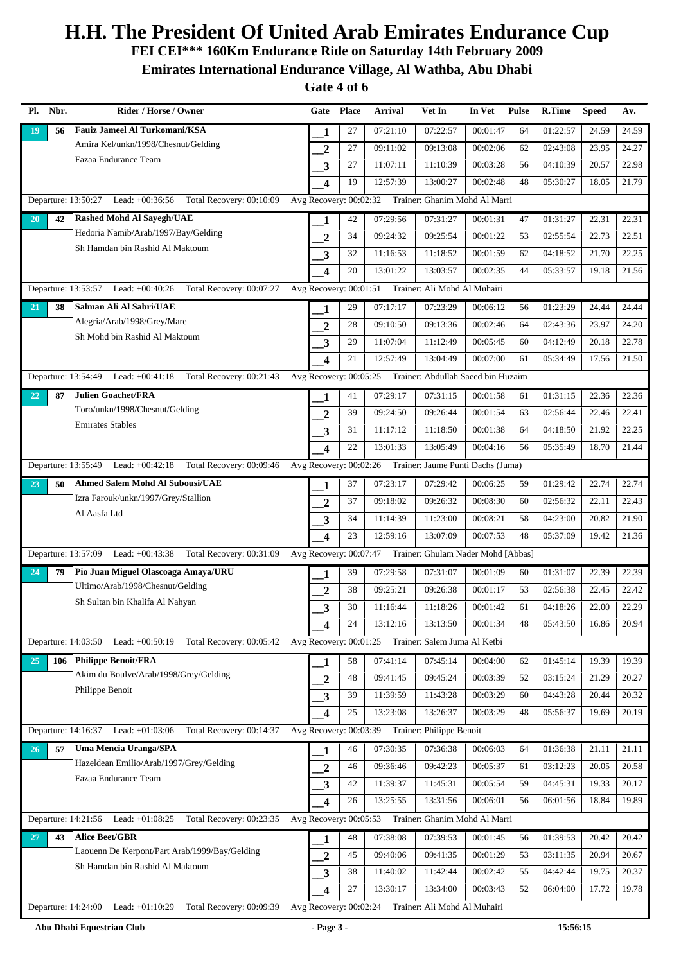**FEI CEI\*\*\* 160Km Endurance Ride on Saturday 14th February 2009**

**Emirates International Endurance Village, Al Wathba, Abu Dhabi**

| Pl.       | Nbr. | Rider / Horse / Owner                                                | Gate                    | <b>Place</b> | <b>Arrival</b> | Vet In                                                    | In Vet   | <b>Pulse</b> | R.Time   | <b>Speed</b> | Av.                |
|-----------|------|----------------------------------------------------------------------|-------------------------|--------------|----------------|-----------------------------------------------------------|----------|--------------|----------|--------------|--------------------|
| 19        | 56   | <b>Fauiz Jameel Al Turkomani/KSA</b>                                 | 1                       | 27           | 07:21:10       | 07:22:57                                                  | 00:01:47 | 64           | 01:22:57 | 24.59        | 24.59              |
|           |      | Amira Kel/unkn/1998/Chesnut/Gelding                                  | $\mathbf{2}$            | 27           | 09:11:02       | 09:13:08                                                  | 00:02:06 | 62           | 02:43:08 | 23.95        | 24.27              |
|           |      | Fazaa Endurance Team                                                 | 3                       | 27           | 11:07:11       | 11:10:39                                                  | 00:03:28 | 56           | 04:10:39 | 20.57        | 22.98              |
|           |      |                                                                      | $\overline{\mathbf{4}}$ | 19           | 12:57:39       | 13:00:27                                                  | 00:02:48 | 48           | 05:30:27 | 18.05        | 21.79              |
|           |      | Departure: 13:50:27<br>Lead: $+00:36:56$<br>Total Recovery: 00:10:09 | Avg Recovery: 00:02:32  |              |                | Trainer: Ghanim Mohd Al Marri                             |          |              |          |              |                    |
| <b>20</b> | 42   | <b>Rashed Mohd Al Sayegh/UAE</b>                                     | 1                       | 42           | 07:29:56       | 07:31:27                                                  | 00:01:31 | 47           | 01:31:27 | 22.31        | 22.31              |
|           |      | Hedoria Namib/Arab/1997/Bay/Gelding                                  | $\overline{2}$          | 34           | 09:24:32       | 09:25:54                                                  | 00:01:22 | 53           | 02:55:54 | 22.73        | 22.51              |
|           |      | Sh Hamdan bin Rashid Al Maktoum                                      | 3                       | 32           | 11:16:53       | 11:18:52                                                  | 00:01:59 | 62           | 04:18:52 | 21.70        | 22.25              |
|           |      |                                                                      | $\overline{\mathbf{4}}$ | 20           | 13:01:22       | 13:03:57                                                  | 00:02:35 | 44           | 05:33:57 | 19.18        | 21.56              |
|           |      | Departure: 13:53:57 Lead: +00:40:26<br>Total Recovery: 00:07:27      | Avg Recovery: 00:01:51  |              |                | Trainer: Ali Mohd Al Muhairi                              |          |              |          |              |                    |
| 21        | 38   | Salman Ali Al Sabri/UAE                                              | 1                       | 29           | 07:17:17       | 07:23:29                                                  | 00:06:12 | 56           | 01:23:29 | 24.44        | 24.44              |
|           |      | Alegria/Arab/1998/Grey/Mare                                          | $\overline{2}$          | 28           | 09:10:50       | 09:13:36                                                  | 00:02:46 | 64           | 02:43:36 | 23.97        | 24.20              |
|           |      | Sh Mohd bin Rashid Al Maktoum                                        | 3                       | 29           | 11:07:04       | 11:12:49                                                  | 00:05:45 | 60           | 04:12:49 | 20.18        | 22.78              |
|           |      |                                                                      | $\overline{\mathbf{4}}$ | 21           | 12:57:49       | 13:04:49                                                  | 00:07:00 | 61           | 05:34:49 | 17.56        | $21.\overline{50}$ |
|           |      | Departure: 13:54:49 Lead: +00:41:18 Total Recovery: 00:21:43         |                         |              |                | Avg Recovery: 00:05:25 Trainer: Abdullah Saeed bin Huzaim |          |              |          |              |                    |
| 22        | 87   | <b>Julien Goachet/FRA</b>                                            | 1                       | 41           | 07:29:17       | 07:31:15                                                  | 00:01:58 | 61           | 01:31:15 | 22.36        | 22.36              |
|           |      | Toro/unkn/1998/Chesnut/Gelding                                       | $\overline{2}$          | 39           | 09:24:50       | 09:26:44                                                  | 00:01:54 | 63           | 02:56:44 | 22.46        | 22.41              |
|           |      | <b>Emirates Stables</b>                                              | 3                       | 31           | 11:17:12       | 11:18:50                                                  | 00:01:38 | 64           | 04:18:50 | 21.92        | 22.25              |
|           |      |                                                                      | $\overline{\mathbf{4}}$ | 22           | 13:01:33       | 13:05:49                                                  | 00:04:16 | 56           | 05:35:49 | 18.70        | 21.44              |
|           |      | Departure: 13:55:49 Lead: +00:42:18 Total Recovery: 00:09:46         | Avg Recovery: 00:02:26  |              |                | Trainer: Jaume Punti Dachs (Juma)                         |          |              |          |              |                    |
| 23        | 50   | <b>Ahmed Salem Mohd Al Subousi/UAE</b>                               | 1                       | 37           | 07:23:17       | 07:29:42                                                  | 00:06:25 | 59           | 01:29:42 | 22.74        | 22.74              |
|           |      | Izra Farouk/unkn/1997/Grey/Stallion                                  | $\overline{2}$          | 37           | 09:18:02       | 09:26:32                                                  | 00:08:30 | 60           | 02:56:32 | 22.11        | 22.43              |
|           |      | Al Aasfa Ltd                                                         | 3                       | 34           | 11:14:39       | 11:23:00                                                  | 00:08:21 | 58           | 04:23:00 | 20.82        | 21.90              |
|           |      |                                                                      | $\overline{\mathbf{4}}$ | 23           | 12:59:16       | 13:07:09                                                  | 00:07:53 | 48           | 05:37:09 | 19.42        | 21.36              |
|           |      | Departure: 13:57:09 Lead: +00:43:38 Total Recovery: 00:31:09         | Avg Recovery: 00:07:47  |              |                | Trainer: Ghulam Nader Mohd [Abbas]                        |          |              |          |              |                    |
| 24        | 79   | Pio Juan Miguel Olascoaga Amaya/URU                                  | 1                       | 39           | 07:29:58       | 07:31:07                                                  | 00:01:09 | 60           | 01:31:07 | 22.39        | 22.39              |
|           |      | Ultimo/Arab/1998/Chesnut/Gelding                                     | $\overline{2}$          | 38           | 09:25:21       | 09:26:38                                                  | 00:01:17 | 53           | 02:56:38 | 22.45        | 22.42              |
|           |      | Sh Sultan bin Khalifa Al Nahyan                                      | 3                       | 30           | 11:16:44       | 11:18:26                                                  | 00:01:42 | 61           | 04:18:26 | 22.00        | 22.29              |
|           |      |                                                                      | 4                       | 24           | 13:12:16       | 13:13:50                                                  | 00:01:34 | 48           | 05:43:50 | 16.86        | 20.94              |
|           |      | Departure: 14:03:50<br>Lead: $+00:50:19$<br>Total Recovery: 00:05:42 | Avg Recovery: 00:01:25  |              |                | Trainer: Salem Juma Al Ketbi                              |          |              |          |              |                    |
| 25        | 106  | <b>Philippe Benoit/FRA</b>                                           | 1                       | 58           | 07:41:14       | 07:45:14                                                  | 00:04:00 | 62           | 01:45:14 | 19.39        | 19.39              |
|           |      | Akim du Boulve/Arab/1998/Grey/Gelding                                | $\mathbf{2}$            | 48           | 09:41:45       | 09:45:24                                                  | 00:03:39 | 52           | 03:15:24 | 21.29        | 20.27              |
|           |      | Philippe Benoit                                                      | 3                       | 39           | 11:39:59       | 11:43:28                                                  | 00:03:29 | 60           | 04:43:28 | 20.44        | 20.32              |
|           |      |                                                                      | $\overline{\mathbf{4}}$ | 25           | 13:23:08       | 13:26:37                                                  | 00:03:29 | 48           | 05:56:37 | 19.69        | 20.19              |
|           |      | Total Recovery: 00:14:37<br>Departure: 14:16:37 Lead: +01:03:06      |                         |              |                | Avg Recovery: 00:03:39 Trainer: Philippe Benoit           |          |              |          |              |                    |
| 26        | 57   | Uma Mencia Uranga/SPA                                                | 1                       | 46           | 07:30:35       | 07:36:38                                                  | 00:06:03 | 64           | 01:36:38 | 21.11        | 21.11              |
|           |      | Hazeldean Emilio/Arab/1997/Grey/Gelding                              | $\overline{2}$          | 46           | 09:36:46       | 09:42:23                                                  | 00:05:37 | 61           | 03:12:23 | 20.05        | 20.58              |
|           |      | Fazaa Endurance Team                                                 | 3                       | 42           | 11:39:37       | 11:45:31                                                  | 00:05:54 | 59           | 04:45:31 | 19.33        | 20.17              |
|           |      |                                                                      | 4                       | 26           | 13:25:55       | 13:31:56                                                  | 00:06:01 | 56           | 06:01:56 | 18.84        | 19.89              |
|           |      | Departure: 14:21:56<br>Lead: $+01:08:25$<br>Total Recovery: 00:23:35 | Avg Recovery: 00:05:53  |              |                | Trainer: Ghanim Mohd Al Marri                             |          |              |          |              |                    |
| 27        | 43   | <b>Alice Beet/GBR</b>                                                | 1                       | 48           | 07:38:08       | 07:39:53                                                  | 00:01:45 | 56           | 01:39:53 | 20.42        | 20.42              |
|           |      | Laouenn De Kerpont/Part Arab/1999/Bay/Gelding                        | $\mathbf{2}$            | 45           | 09:40:06       | 09:41:35                                                  | 00:01:29 | 53           | 03:11:35 | 20.94        | 20.67              |
|           |      | Sh Hamdan bin Rashid Al Maktoum                                      | 3                       | 38           | 11:40:02       | 11:42:44                                                  | 00:02:42 | 55           | 04:42:44 | 19.75        | 20.37              |
|           |      |                                                                      | $\overline{\mathbf{4}}$ | 27           | 13:30:17       | 13:34:00                                                  | 00:03:43 | 52           | 06:04:00 | 17.72        | 19.78              |
|           |      | Lead: +01:10:29<br>Departure: 14:24:00<br>Total Recovery: 00:09:39   | Avg Recovery: 00:02:24  |              |                | Trainer: Ali Mohd Al Muhairi                              |          |              |          |              |                    |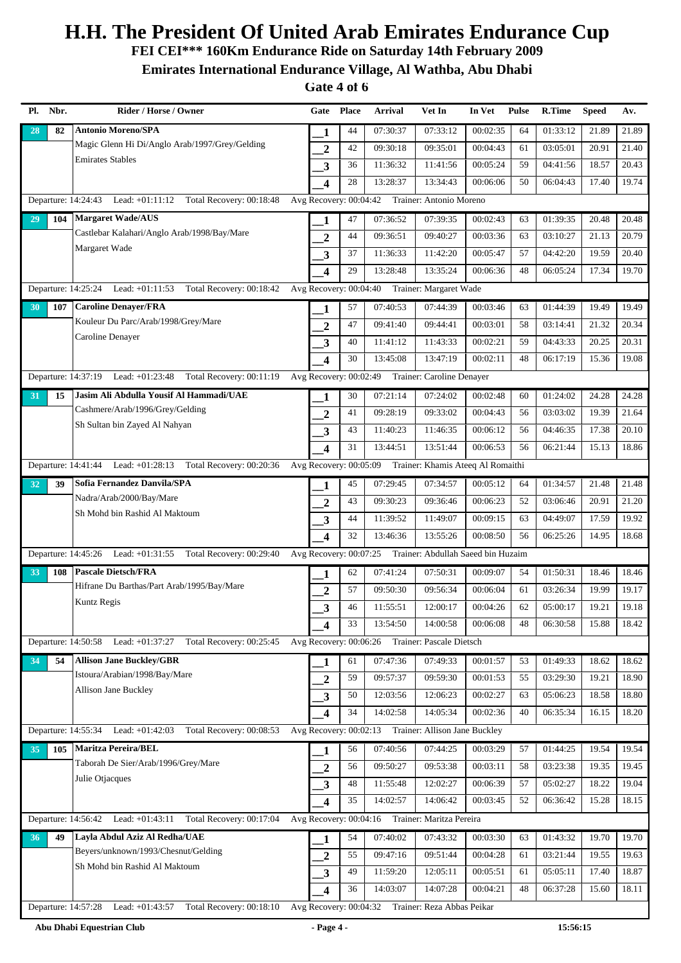**FEI CEI\*\*\* 160Km Endurance Ride on Saturday 14th February 2009**

**Emirates International Endurance Village, Al Wathba, Abu Dhabi**

| Pl. | Nbr. | Rider / Horse / Owner                                                                                                | Gate                    | <b>Place</b> | <b>Arrival</b> | Vet In                                               | In Vet   | <b>Pulse</b> | R.Time   | <b>Speed</b> | Av.   |
|-----|------|----------------------------------------------------------------------------------------------------------------------|-------------------------|--------------|----------------|------------------------------------------------------|----------|--------------|----------|--------------|-------|
| 28  | 82   | <b>Antonio Moreno/SPA</b>                                                                                            | 1                       | 44           | 07:30:37       | 07:33:12                                             | 00:02:35 | 64           | 01:33:12 | 21.89        | 21.89 |
|     |      | Magic Glenn Hi Di/Anglo Arab/1997/Grey/Gelding                                                                       | $\mathbf{2}$            | 42           | 09:30:18       | 09:35:01                                             | 00:04:43 | 61           | 03:05:01 | 20.91        | 21.40 |
|     |      | <b>Emirates Stables</b>                                                                                              | 3                       | 36           | 11:36:32       | 11:41:56                                             | 00:05:24 | 59           | 04:41:56 | 18.57        | 20.43 |
|     |      |                                                                                                                      | $\overline{\mathbf{4}}$ | 28           | 13:28:37       | 13:34:43                                             | 00:06:06 | 50           | 06:04:43 | 17.40        | 19.74 |
|     |      | Lead: +01:11:12 Total Recovery: 00:18:48<br>Departure: 14:24:43                                                      | Avg Recovery: 00:04:42  |              |                | Trainer: Antonio Moreno                              |          |              |          |              |       |
| 29  | 104  | <b>Margaret Wade/AUS</b>                                                                                             | 1                       | 47           | 07:36:52       | 07:39:35                                             | 00:02:43 | 63           | 01:39:35 | 20.48        | 20.48 |
|     |      | Castlebar Kalahari/Anglo Arab/1998/Bay/Mare                                                                          | $\overline{2}$          | 44           | 09:36:51       | 09:40:27                                             | 00:03:36 | 63           | 03:10:27 | 21.13        | 20.79 |
|     |      | Margaret Wade                                                                                                        | 3                       | 37           | 11:36:33       | 11:42:20                                             | 00:05:47 | 57           | 04:42:20 | 19.59        | 20.40 |
|     |      |                                                                                                                      | $\overline{\mathbf{4}}$ | 29           | 13:28:48       | 13:35:24                                             | 00:06:36 | 48           | 06:05:24 | 17.34        | 19.70 |
|     |      | Total Recovery: 00:18:42<br>Departure: 14:25:24 Lead: +01:11:53                                                      | Avg Recovery: 00:04:40  |              |                | Trainer: Margaret Wade                               |          |              |          |              |       |
| 30  | 107  | <b>Caroline Denayer/FRA</b>                                                                                          | 1                       | 57           | 07:40:53       | 07:44:39                                             | 00:03:46 | 63           | 01:44:39 | 19.49        | 19.49 |
|     |      | Kouleur Du Parc/Arab/1998/Grey/Mare                                                                                  | $\overline{2}$          | 47           | 09:41:40       | 09:44:41                                             | 00:03:01 | 58           | 03:14:41 | 21.32        | 20.34 |
|     |      | Caroline Denayer                                                                                                     | 3                       | 40           | 11:41:12       | 11:43:33                                             | 00:02:21 | 59           | 04:43:33 | 20.25        | 20.31 |
|     |      |                                                                                                                      | $\overline{\mathbf{4}}$ | 30           | 13:45:08       | 13:47:19                                             | 00:02:11 | 48           | 06:17:19 | 15.36        | 19.08 |
|     |      | Departure: 14:37:19 Lead: +01:23:48 Total Recovery: 00:11:19                                                         |                         |              |                | Avg Recovery: 00:02:49 Trainer: Caroline Denayer     |          |              |          |              |       |
| 31  | 15   | Jasim Ali Abdulla Yousif Al Hammadi/UAE                                                                              | 1                       | 30           | 07:21:14       | 07:24:02                                             | 00:02:48 | 60           | 01:24:02 | 24.28        | 24.28 |
|     |      | Cashmere/Arab/1996/Grey/Gelding                                                                                      | $\overline{2}$          | 41           | 09:28:19       | 09:33:02                                             | 00:04:43 | 56           | 03:03:02 | 19.39        | 21.64 |
|     |      | Sh Sultan bin Zayed Al Nahyan                                                                                        | 3                       | 43           | 11:40:23       | 11:46:35                                             | 00:06:12 | 56           | 04:46:35 | 17.38        | 20.10 |
|     |      |                                                                                                                      | $\overline{\mathbf{4}}$ | 31           | 13:44:51       | 13:51:44                                             | 00:06:53 | 56           | 06:21:44 | 15.13        | 18.86 |
|     |      | Departure: 14:41:44<br>Lead: +01:28:13 Total Recovery: 00:20:36                                                      | Avg Recovery: 00:05:09  |              |                | Trainer: Khamis Ateeq Al Romaithi                    |          |              |          |              |       |
| 32  | 39   | Sofia Fernandez Danvila/SPA                                                                                          | 1                       | 45           | 07:29:45       | 07:34:57                                             | 00:05:12 | 64           | 01:34:57 | 21.48        | 21.48 |
|     |      | Nadra/Arab/2000/Bay/Mare                                                                                             | $\overline{2}$          | 43           | 09:30:23       | 09:36:46                                             | 00:06:23 | 52           | 03:06:46 | 20.91        | 21.20 |
|     |      | Sh Mohd bin Rashid Al Maktoum                                                                                        | 3                       | 44           | 11:39:52       | 11:49:07                                             | 00:09:15 | 63           | 04:49:07 | 17.59        | 19.92 |
|     |      |                                                                                                                      | $\overline{\mathbf{4}}$ | 32           | 13:46:36       | 13:55:26                                             | 00:08:50 | 56           | 06:25:26 | 14.95        | 18.68 |
|     |      | Departure: 14:45:26<br>Lead: $+01:31:55$<br>Total Recovery: 00:29:40                                                 | Avg Recovery: 00:07:25  |              |                | Trainer: Abdullah Saeed bin Huzaim                   |          |              |          |              |       |
| 33  | 108  | <b>Pascale Dietsch/FRA</b>                                                                                           | 1                       | 62           | 07:41:24       | 07:50:31                                             | 00:09:07 | 54           | 01:50:31 | 18.46        | 18.46 |
|     |      | Hifrane Du Barthas/Part Arab/1995/Bay/Mare                                                                           | $\overline{2}$          | 57           | 09:50:30       | 09:56:34                                             | 00:06:04 | 61           | 03:26:34 | 19.99        | 19.17 |
|     |      | Kuntz Regis                                                                                                          | 3                       | 46           | 11:55:51       | 12:00:17                                             | 00:04:26 | 62           | 05:00:17 | 19.21        | 19.18 |
|     |      |                                                                                                                      | 4                       | 33           | 13:54:50       | 14:00:58                                             | 00:06:08 | 48           | 06:30:58 | 15.88        | 18.42 |
|     |      | Departure: 14:50:58<br>Lead: +01:37:27<br>Total Recovery: 00:25:45                                                   | Avg Recovery: 00:06:26  |              |                | Trainer: Pascale Dietsch                             |          |              |          |              |       |
| 34  | 54   | <b>Allison Jane Buckley/GBR</b>                                                                                      | 1                       | 61           | 07:47:36       | 07:49:33                                             | 00:01:57 | 53           | 01:49:33 | 18.62        | 18.62 |
|     |      | Istoura/Arabian/1998/Bay/Mare                                                                                        | $\overline{2}$          | 59           | 09:57:37       | 09:59:30                                             | 00:01:53 | 55           | 03:29:30 | 19.21        | 18.90 |
|     |      | Allison Jane Buckley                                                                                                 | 3                       | 50           | 12:03:56       | 12:06:23                                             | 00:02:27 | 63           | 05:06:23 | 18.58        | 18.80 |
|     |      |                                                                                                                      | 4                       | 34           | 14:02:58       | 14:05:34                                             | 00:02:36 | 40           | 06:35:34 | 16.15        | 18.20 |
|     |      | Total Recovery: 00:08:53<br>Departure: 14:55:34<br>Lead: $+01:42:03$                                                 |                         |              |                | Avg Recovery: 00:02:13 Trainer: Allison Jane Buckley |          |              |          |              |       |
| 35  | 105  | Maritza Pereira/BEL                                                                                                  | 1                       | 56           | 07:40:56       | 07:44:25                                             | 00:03:29 | 57           | 01:44:25 | 19.54        | 19.54 |
|     |      | Taborah De Sier/Arab/1996/Grey/Mare                                                                                  | $\overline{2}$          | 56           | 09:50:27       | 09:53:38                                             | 00:03:11 | 58           | 03:23:38 | 19.35        | 19.45 |
|     |      | Julie Otjacques                                                                                                      | 3                       | 48           | 11:55:48       | 12:02:27                                             | 00:06:39 | 57           | 05:02:27 | 18.22        | 19.04 |
|     |      |                                                                                                                      | 4                       | 35           | 14:02:57       | 14:06:42                                             | 00:03:45 | 52           | 06:36:42 | 15.28        | 18.15 |
|     |      | Lead: +01:43:11<br>Total Recovery: 00:17:04<br>Departure: 14:56:42                                                   | Avg Recovery: 00:04:16  |              |                | Trainer: Maritza Pereira                             |          |              |          |              |       |
| 36  | 49   | Layla Abdul Aziz Al Redha/UAE                                                                                        | 1                       | 54           | 07:40:02       | 07:43:32                                             | 00:03:30 | 63           | 01:43:32 | 19.70        | 19.70 |
|     |      | Beyers/unknown/1993/Chesnut/Gelding                                                                                  | $\overline{2}$          | 55           | 09:47:16       | 09:51:44                                             | 00:04:28 | 61           | 03:21:44 | 19.55        | 19.63 |
|     |      | Sh Mohd bin Rashid Al Maktoum                                                                                        | 3                       | 49           | 11:59:20       | 12:05:11                                             | 00:05:51 | 61           | 05:05:11 | 17.40        | 18.87 |
|     |      |                                                                                                                      | $\overline{\mathbf{4}}$ | 36           | 14:03:07       | 14:07:28                                             | 00:04:21 | 48           | 06:37:28 | 15.60        | 18.11 |
|     |      | Total Recovery: 00:18:10 Avg Recovery: 00:04:32 Trainer: Reza Abbas Peikar<br>Departure: 14:57:28<br>Lead: +01:43:57 |                         |              |                |                                                      |          |              |          |              |       |